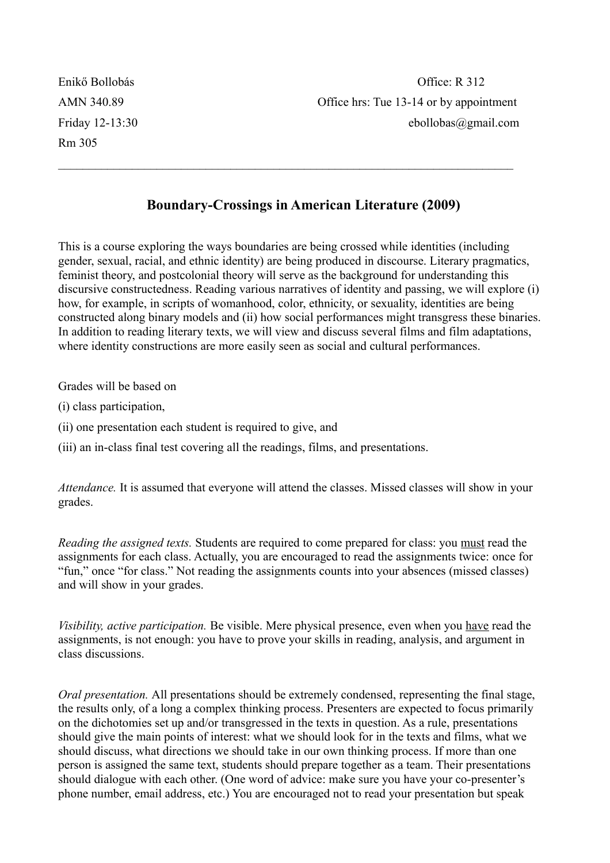Rm 305

## **Boundary-Crossings in American Literature (2009)**

 $\mathcal{L}_\text{max}$  , and the contribution of the contribution of the contribution of the contribution of the contribution of the contribution of the contribution of the contribution of the contribution of the contribution of t

This is a course exploring the ways boundaries are being crossed while identities (including gender, sexual, racial, and ethnic identity) are being produced in discourse. Literary pragmatics, feminist theory, and postcolonial theory will serve as the background for understanding this discursive constructedness. Reading various narratives of identity and passing, we will explore (i) how, for example, in scripts of womanhood, color, ethnicity, or sexuality, identities are being constructed along binary models and (ii) how social performances might transgress these binaries. In addition to reading literary texts, we will view and discuss several films and film adaptations, where identity constructions are more easily seen as social and cultural performances.

Grades will be based on

- (i) class participation,
- (ii) one presentation each student is required to give, and
- (iii) an in-class final test covering all the readings, films, and presentations.

*Attendance.* It is assumed that everyone will attend the classes. Missed classes will show in your grades.

*Reading the assigned texts.* Students are required to come prepared for class: you must read the assignments for each class. Actually, you are encouraged to read the assignments twice: once for "fun," once "for class." Not reading the assignments counts into your absences (missed classes) and will show in your grades.

*Visibility, active participation.* Be visible. Mere physical presence, even when you have read the assignments, is not enough: you have to prove your skills in reading, analysis, and argument in class discussions.

*Oral presentation.* All presentations should be extremely condensed, representing the final stage, the results only, of a long a complex thinking process. Presenters are expected to focus primarily on the dichotomies set up and/or transgressed in the texts in question. As a rule, presentations should give the main points of interest: what we should look for in the texts and films, what we should discuss, what directions we should take in our own thinking process. If more than one person is assigned the same text, students should prepare together as a team. Their presentations should dialogue with each other. (One word of advice: make sure you have your co-presenter's phone number, email address, etc.) You are encouraged not to read your presentation but speak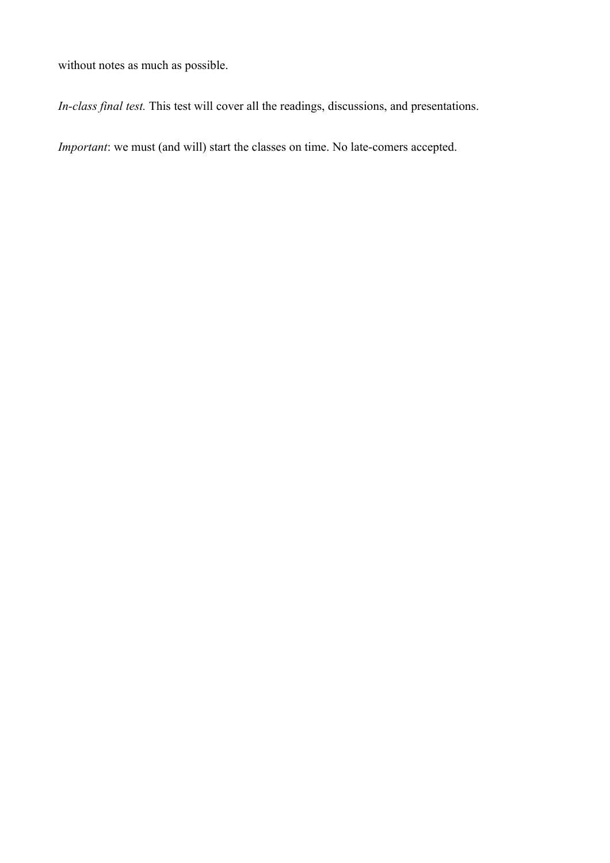without notes as much as possible.

*In-class final test.* This test will cover all the readings, discussions, and presentations.

*Important*: we must (and will) start the classes on time. No late-comers accepted.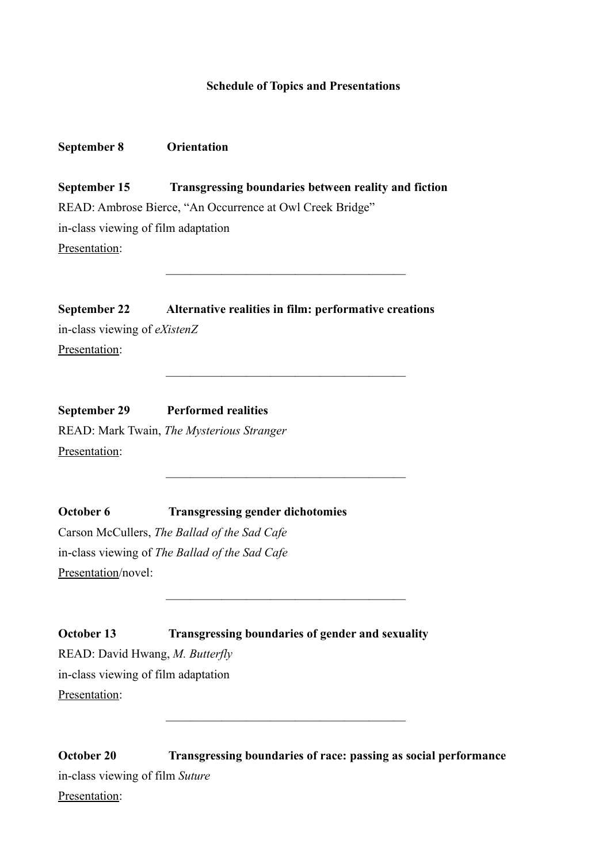## **Schedule of Topics and Presentations**

## **September 8 Orientation**

**September 15 Transgressing boundaries between reality and fiction** READ: Ambrose Bierce, "An Occurrence at Owl Creek Bridge" in-class viewing of film adaptation Presentation:

 $\overline{\phantom{a}}$  ,  $\overline{\phantom{a}}$  ,  $\overline{\phantom{a}}$  ,  $\overline{\phantom{a}}$  ,  $\overline{\phantom{a}}$  ,  $\overline{\phantom{a}}$  ,  $\overline{\phantom{a}}$  ,  $\overline{\phantom{a}}$  ,  $\overline{\phantom{a}}$  ,  $\overline{\phantom{a}}$  ,  $\overline{\phantom{a}}$  ,  $\overline{\phantom{a}}$  ,  $\overline{\phantom{a}}$  ,  $\overline{\phantom{a}}$  ,  $\overline{\phantom{a}}$  ,  $\overline{\phantom{a}}$ 

 $\overline{\phantom{a}}$  ,  $\overline{\phantom{a}}$  ,  $\overline{\phantom{a}}$  ,  $\overline{\phantom{a}}$  ,  $\overline{\phantom{a}}$  ,  $\overline{\phantom{a}}$  ,  $\overline{\phantom{a}}$  ,  $\overline{\phantom{a}}$  ,  $\overline{\phantom{a}}$  ,  $\overline{\phantom{a}}$  ,  $\overline{\phantom{a}}$  ,  $\overline{\phantom{a}}$  ,  $\overline{\phantom{a}}$  ,  $\overline{\phantom{a}}$  ,  $\overline{\phantom{a}}$  ,  $\overline{\phantom{a}}$ 

 $\overline{\phantom{a}}$  ,  $\overline{\phantom{a}}$  ,  $\overline{\phantom{a}}$  ,  $\overline{\phantom{a}}$  ,  $\overline{\phantom{a}}$  ,  $\overline{\phantom{a}}$  ,  $\overline{\phantom{a}}$  ,  $\overline{\phantom{a}}$  ,  $\overline{\phantom{a}}$  ,  $\overline{\phantom{a}}$  ,  $\overline{\phantom{a}}$  ,  $\overline{\phantom{a}}$  ,  $\overline{\phantom{a}}$  ,  $\overline{\phantom{a}}$  ,  $\overline{\phantom{a}}$  ,  $\overline{\phantom{a}}$ 

 $\overline{\phantom{a}}$  ,  $\overline{\phantom{a}}$  ,  $\overline{\phantom{a}}$  ,  $\overline{\phantom{a}}$  ,  $\overline{\phantom{a}}$  ,  $\overline{\phantom{a}}$  ,  $\overline{\phantom{a}}$  ,  $\overline{\phantom{a}}$  ,  $\overline{\phantom{a}}$  ,  $\overline{\phantom{a}}$  ,  $\overline{\phantom{a}}$  ,  $\overline{\phantom{a}}$  ,  $\overline{\phantom{a}}$  ,  $\overline{\phantom{a}}$  ,  $\overline{\phantom{a}}$  ,  $\overline{\phantom{a}}$ 

**September 22 Alternative realities in film: performative creations** in-class viewing of *eXistenZ* Presentation:

**September 29 Performed realities** READ: Mark Twain, *The Mysterious Stranger* Presentation:

**October 6 Transgressing gender dichotomies** Carson McCullers, *The Ballad of the Sad Cafe* in-class viewing of *The Ballad of the Sad Cafe* Presentation/novel:

**October 13** Transgressing boundaries of gender and sexuality READ: David Hwang, *M. Butterfly* in-class viewing of film adaptation Presentation:

**October 20 Transgressing boundaries of race: passing as social performance** in-class viewing of film *Suture* Presentation:

 $\overline{\phantom{a}}$  ,  $\overline{\phantom{a}}$  ,  $\overline{\phantom{a}}$  ,  $\overline{\phantom{a}}$  ,  $\overline{\phantom{a}}$  ,  $\overline{\phantom{a}}$  ,  $\overline{\phantom{a}}$  ,  $\overline{\phantom{a}}$  ,  $\overline{\phantom{a}}$  ,  $\overline{\phantom{a}}$  ,  $\overline{\phantom{a}}$  ,  $\overline{\phantom{a}}$  ,  $\overline{\phantom{a}}$  ,  $\overline{\phantom{a}}$  ,  $\overline{\phantom{a}}$  ,  $\overline{\phantom{a}}$